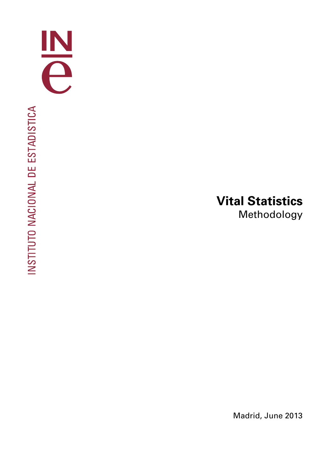

# **Vital Statistics**  Methodology

Madrid, June 2013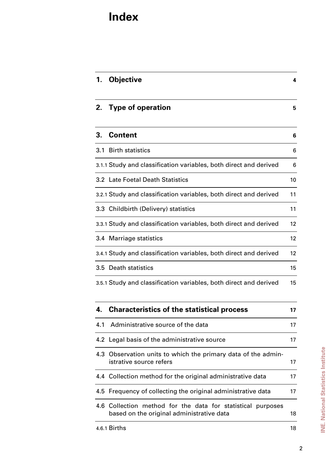## **Index**

| 1.  | <b>Objective</b>                                                                         | 4  |
|-----|------------------------------------------------------------------------------------------|----|
| 2.  | <b>Type of operation</b>                                                                 | 5  |
| 3.  | <b>Content</b>                                                                           | 6  |
|     | 3.1 Birth statistics                                                                     | 6  |
|     | 3.1.1 Study and classification variables, both direct and derived                        | 6  |
|     | 3.2 Late Foetal Death Statistics                                                         | 10 |
|     | 3.2.1 Study and classification variables, both direct and derived                        | 11 |
|     | 3.3 Childbirth (Delivery) statistics                                                     | 11 |
|     | 3.3.1 Study and classification variables, both direct and derived                        | 12 |
|     | 3.4 Marriage statistics                                                                  | 12 |
|     | 3.4.1 Study and classification variables, both direct and derived                        | 12 |
|     | 3.5 Death statistics                                                                     | 15 |
|     | 3.5.1 Study and classification variables, both direct and derived                        | 15 |
| 4.  | <b>Characteristics of the statistical process</b>                                        | 17 |
| 4.1 | Administrative source of the data                                                        | 17 |
|     | 4.2 Legal basis of the administrative source                                             | 17 |
|     | 4.3 Observation units to which the primary data of the admin-<br>istrative source refers | 17 |
|     | 4.4 Collection method for the original administrative data                               | 17 |
|     | 4.5 Frequency of collecting the original administrative data                             | 17 |

4.6 Collection method for the data for statistical purposes based on the original administrative data 18 **INE. National Statistics Institute INE. National Statistics Institute**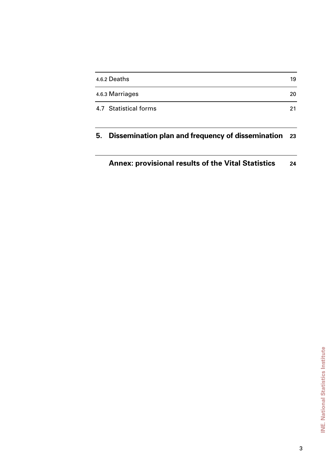| 4.6.2 Deaths          | 19 |
|-----------------------|----|
| 4.6.3 Marriages       | 20 |
| 4.7 Statistical forms | 21 |

### **5. Dissemination plan and frequency of dissemination 23**

### **Annex: provisional results of the Vital Statistics 24**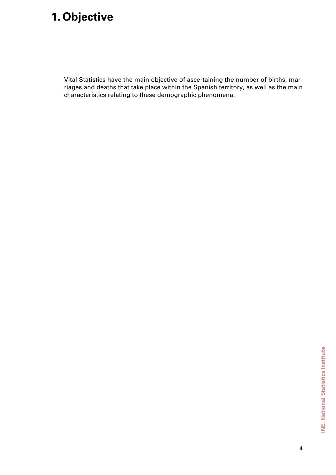# **1. Objective**

Vital Statistics have the main objective of ascertaining the number of births, marriages and deaths that take place within the Spanish territory, as well as the main characteristics relating to these demographic phenomena.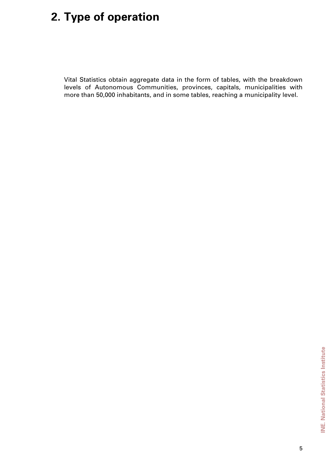# **2. Type of operation**

Vital Statistics obtain aggregate data in the form of tables, with the breakdown levels of Autonomous Communities, provinces, capitals, municipalities with more than 50,000 inhabitants, and in some tables, reaching a municipality level.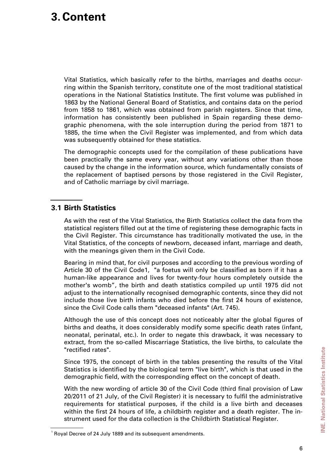## **3.Content**

Vital Statistics, which basically refer to the births, marriages and deaths occurring within the Spanish territory, constitute one of the most traditional statistical operations in the National Statistics Institute. The first volume was published in 1863 by the National General Board of Statistics, and contains data on the period from 1858 to 1861, which was obtained from parish registers. Since that time, information has consistently been published in Spain regarding these demographic phenomena, with the sole interruption during the period from 1871 to 1885, the time when the Civil Register was implemented, and from which data was subsequently obtained for these statistics.

The demographic concepts used for the compilation of these publications have been practically the same every year, without any variations other than those caused by the change in the information source, which fundamentally consists of the replacement of baptised persons by those registered in the Civil Register, and of Catholic marriage by civil marriage.

#### **3.1 Birth Statistics**

As with the rest of the Vital Statistics, the Birth Statistics collect the data from the statistical registers filled out at the time of registering these demographic facts in the Civil Register. This circumstance has traditionally motivated the use, in the Vital Statistics, of the concepts of newborn, deceased infant, marriage and death, with the meanings given them in the Civil Code.

Bearing in mind that, for civil purposes and according to the previous wording of Article 30 of the Civil Code1, "a foetus will only be classified as born if it has a human-like appearance and lives for twenty-four hours completely outside the mother's womb", the birth and death statistics compiled up until 1975 did not adjust to the internationally recognised demographic contents, since they did not include those live birth infants who died before the first 24 hours of existence, since the Civil Code calls them "deceased infants" (Art. 745).

Although the use of this concept does not noticeably alter the global figures of births and deaths, it does considerably modify some specific death rates (infant, neonatal, perinatal, etc.). In order to negate this drawback, it was necessary to extract, from the so-called Miscarriage Statistics, the live births, to calculate the "rectified rates".

Since 1975, the concept of birth in the tables presenting the results of the Vital Statistics is identified by the biological term "live birth", which is that used in the demographic field, with the corresponding effect on the concept of death.

With the new wording of article 30 of the Civil Code (third final provision of Law 20/2011 of 21 July, of the Civil Register) it is necessary to fulfil the administrative requirements for statistical purposes, if the child is a live birth and deceases within the first 24 hours of life, a childbirth register and a death register. The instrument used for the data collection is the Childbirth Statistical Register.

<sup>&</sup>lt;sup>1</sup> Royal Decree of 24 July 1889 and its subsequent amendments.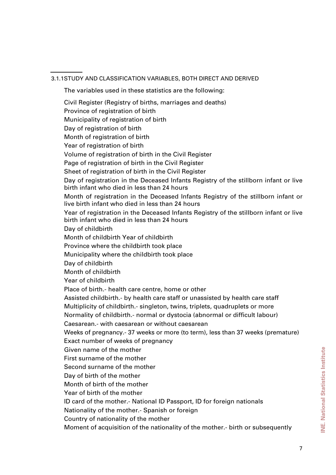3.1.1 STUDY AND CLASSIFICATION VARIABLES, BOTH DIRECT AND DERIVED

The variables used in these statistics are the following:

Civil Register (Registry of births, marriages and deaths) Province of registration of birth Municipality of registration of birth Day of registration of birth Month of registration of birth Year of registration of birth Volume of registration of birth in the Civil Register Page of registration of birth in the Civil Register Sheet of registration of birth in the Civil Register Day of registration in the Deceased Infants Registry of the stillborn infant or live birth infant who died in less than 24 hours Month of registration in the Deceased Infants Registry of the stillborn infant or live birth infant who died in less than 24 hours Year of registration in the Deceased Infants Registry of the stillborn infant or live birth infant who died in less than 24 hours Day of childbirth Month of childbirth Year of childbirth Province where the childbirth took place Municipality where the childbirth took place Day of childbirth Month of childbirth Year of childbirth Place of birth.- health care centre, home or other Assisted childbirth.- by health care staff or unassisted by health care staff Multiplicity of childbirth.- singleton, twins, triplets, quadruplets or more Normality of childbirth.- normal or dystocia (abnormal or difficult labour) Caesarean.- with caesarean or without caesarean Weeks of pregnancy.- 37 weeks or more (to term), less than 37 weeks (premature) Exact number of weeks of pregnancy Given name of the mother First surname of the mother Second surname of the mother Day of birth of the mother Month of birth of the mother Year of birth of the mother ID card of the mother.- National ID Passport, ID for foreign nationals Nationality of the mother.- Spanish or foreign Country of nationality of the mother

Moment of acquisition of the nationality of the mother.- birth or subsequently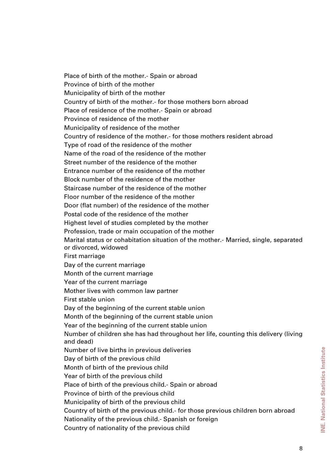Place of birth of the mother.- Spain or abroad Province of birth of the mother Municipality of birth of the mother Country of birth of the mother.- for those mothers born abroad Place of residence of the mother.- Spain or abroad Province of residence of the mother Municipality of residence of the mother Country of residence of the mother.- for those mothers resident abroad Type of road of the residence of the mother Name of the road of the residence of the mother Street number of the residence of the mother Entrance number of the residence of the mother Block number of the residence of the mother Staircase number of the residence of the mother Floor number of the residence of the mother Door (flat number) of the residence of the mother Postal code of the residence of the mother Highest level of studies completed by the mother Profession, trade or main occupation of the mother Marital status or cohabitation situation of the mother.- Married, single, separated or divorced, widowed First marriage Day of the current marriage Month of the current marriage Year of the current marriage Mother lives with common law partner First stable union Day of the beginning of the current stable union Month of the beginning of the current stable union Year of the beginning of the current stable union Number of children she has had throughout her life, counting this delivery (living and dead) Number of live births in previous deliveries Day of birth of the previous child Month of birth of the previous child Year of birth of the previous child Place of birth of the previous child.- Spain or abroad Province of birth of the previous child Municipality of birth of the previous child Country of birth of the previous child.- for those previous children born abroad Nationality of the previous child.- Spanish or foreign Country of nationality of the previous child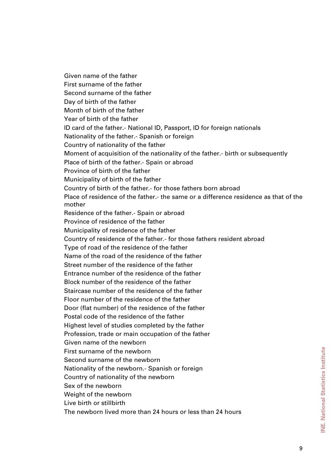Given name of the father First surname of the father Second surname of the father Day of birth of the father Month of birth of the father Year of birth of the father ID card of the father.- National ID, Passport, ID for foreign nationals Nationality of the father.- Spanish or foreign Country of nationality of the father Moment of acquisition of the nationality of the father.- birth or subsequently Place of birth of the father.- Spain or abroad Province of birth of the father Municipality of birth of the father Country of birth of the father.- for those fathers born abroad Place of residence of the father.- the same or a difference residence as that of the mother Residence of the father.- Spain or abroad Province of residence of the father Municipality of residence of the father Country of residence of the father.- for those fathers resident abroad Type of road of the residence of the father Name of the road of the residence of the father Street number of the residence of the father Entrance number of the residence of the father Block number of the residence of the father Staircase number of the residence of the father Floor number of the residence of the father Door (flat number) of the residence of the father Postal code of the residence of the father Highest level of studies completed by the father Profession, trade or main occupation of the father Given name of the newborn First surname of the newborn Second surname of the newborn Nationality of the newborn.- Spanish or foreign Country of nationality of the newborn Sex of the newborn Weight of the newborn Live birth or stillbirth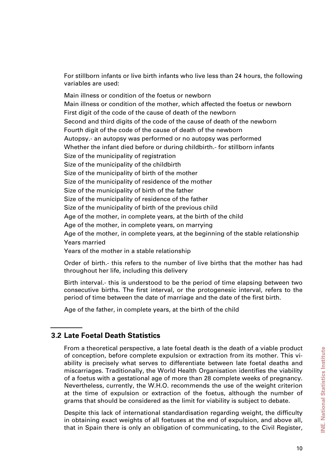For stillborn infants or live birth infants who live less than 24 hours, the following variables are used:

Main illness or condition of the foetus or newborn Main illness or condition of the mother, which affected the foetus or newborn First digit of the code of the cause of death of the newborn Second and third digits of the code of the cause of death of the newborn Fourth digit of the code of the cause of death of the newborn Autopsy.- an autopsy was performed or no autopsy was performed Whether the infant died before or during childbirth.- for stillborn infants Size of the municipality of registration Size of the municipality of the childbirth Size of the municipality of birth of the mother Size of the municipality of residence of the mother Size of the municipality of birth of the father Size of the municipality of residence of the father Size of the municipality of birth of the previous child Age of the mother, in complete years, at the birth of the child Age of the mother, in complete years, on marrying Age of the mother, in complete years, at the beginning of the stable relationship Years married Years of the mother in a stable relationship

Order of birth.- this refers to the number of live births that the mother has had throughout her life, including this delivery

Birth interval.- this is understood to be the period of time elapsing between two consecutive births. The first interval, or the protogenesic interval, refers to the period of time between the date of marriage and the date of the first birth.

Age of the father, in complete years, at the birth of the child

### **3.2 Late Foetal Death Statistics**

From a theoretical perspective, a late foetal death is the death of a viable product of conception, before complete expulsion or extraction from its mother. This viability is precisely what serves to differentiate between late foetal deaths and miscarriages. Traditionally, the World Health Organisation identifies the viability of a foetus with a gestational age of more than 28 complete weeks of pregnancy. Nevertheless, currently, the W.H.O. recommends the use of the weight criterion at the time of expulsion or extraction of the foetus, although the number of grams that should be considered as the limit for viability is subject to debate.

Despite this lack of international standardisation regarding weight, the difficulty in obtaining exact weights of all foetuses at the end of expulsion, and above all, that in Spain there is only an obligation of communicating, to the Civil Register,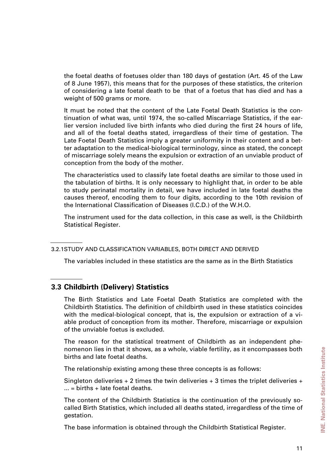the foetal deaths of foetuses older than 180 days of gestation (Art. 45 of the Law of 8 June 1957), this means that for the purposes of these statistics, the criterion of considering a late foetal death to be that of a foetus that has died and has a weight of 500 grams or more.

It must be noted that the content of the Late Foetal Death Statistics is the continuation of what was, until 1974, the so-called Miscarriage Statistics, if the earlier version included live birth infants who died during the first 24 hours of life, and all of the foetal deaths stated, irregardless of their time of gestation. The Late Foetal Death Statistics imply a greater uniformity in their content and a better adaptation to the medical-biological terminology, since as stated, the concept of miscarriage solely means the expulsion or extraction of an unviable product of conception from the body of the mother.

The characteristics used to classify late foetal deaths are similar to those used in the tabulation of births. It is only necessary to highlight that, in order to be able to study perinatal mortality in detail, we have included in late foetal deaths the causes thereof, encoding them to four digits, according to the 10th revision of the International Classification of Diseases (I.C.D.) of the W.H.O.

The instrument used for the data collection, in this case as well, is the Childbirth Statistical Register.

The variables included in these statistics are the same as in the Birth Statistics

#### **3.3 Childbirth (Delivery) Statistics**

The Birth Statistics and Late Foetal Death Statistics are completed with the Childbirth Statistics. The definition of childbirth used in these statistics coincides with the medical-biological concept, that is, the expulsion or extraction of a viable product of conception from its mother. Therefore, miscarriage or expulsion of the unviable foetus is excluded.

The reason for the statistical treatment of Childbirth as an independent phenomenon lies in that it shows, as a whole, viable fertility, as it encompasses both births and late foetal deaths.

The relationship existing among these three concepts is as follows:

Singleton deliveries  $+2$  times the twin deliveries  $+3$  times the triplet deliveries  $+$  $\ldots$  = births + late foetal deaths.

The content of the Childbirth Statistics is the continuation of the previously socalled Birth Statistics, which included all deaths stated, irregardless of the time of gestation.

The base information is obtained through the Childbirth Statistical Register.

<sup>3.2.1</sup> STUDY AND CLASSIFICATION VARIABLES, BOTH DIRECT AND DERIVED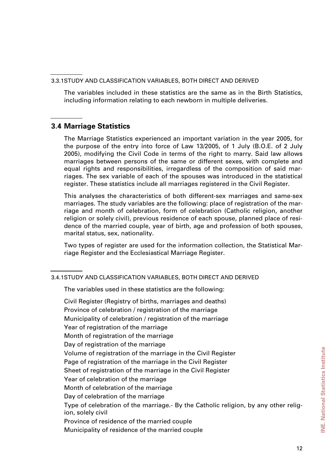3.3.1 STUDY AND CLASSIFICATION VARIABLES, BOTH DIRECT AND DERIVED

The variables included in these statistics are the same as in the Birth Statistics, including information relating to each newborn in multiple deliveries.

#### **3.4 Marriage Statistics**

The Marriage Statistics experienced an important variation in the year 2005, for the purpose of the entry into force of Law 13/2005, of 1 July (B.O.E. of 2 July 2005), modifying the Civil Code in terms of the right to marry. Said law allows marriages between persons of the same or different sexes, with complete and equal rights and responsibilities, irregardless of the composition of said marriages. The sex variable of each of the spouses was introduced in the statistical register. These statistics include all marriages registered in the Civil Register.

This analyses the characteristics of both different-sex marriages and same-sex marriages. The study variables are the following: place of registration of the marriage and month of celebration, form of celebration (Catholic religion, another religion or solely civil), previous residence of each spouse, planned place of residence of the married couple, year of birth, age and profession of both spouses, marital status, sex, nationality.

Two types of register are used for the information collection, the Statistical Marriage Register and the Ecclesiastical Marriage Register.

<sup>3.4.1</sup> STUDY AND CLASSIFICATION VARIABLES, BOTH DIRECT AND DERIVED

The variables used in these statistics are the following:

Civil Register (Registry of births, marriages and deaths) Province of celebration / registration of the marriage Municipality of celebration / registration of the marriage Year of registration of the marriage Month of registration of the marriage Day of registration of the marriage Volume of registration of the marriage in the Civil Register Page of registration of the marriage in the Civil Register Sheet of registration of the marriage in the Civil Register Year of celebration of the marriage Month of celebration of the marriage Day of celebration of the marriage Type of celebration of the marriage.- By the Catholic religion, by any other religion, solely civil Province of residence of the married couple Municipality of residence of the married couple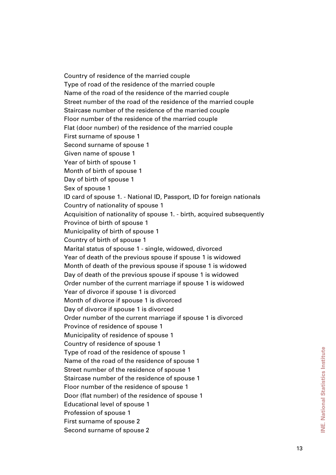Country of residence of the married couple Type of road of the residence of the married couple Name of the road of the residence of the married couple Street number of the road of the residence of the married couple Staircase number of the residence of the married couple Floor number of the residence of the married couple Flat (door number) of the residence of the married couple First surname of spouse 1 Second surname of spouse 1 Given name of spouse 1 Year of birth of spouse 1 Month of birth of spouse 1 Day of birth of spouse 1 Sex of spouse 1 ID card of spouse 1. - National ID, Passport, ID for foreign nationals Country of nationality of spouse 1 Acquisition of nationality of spouse 1. - birth, acquired subsequently Province of birth of spouse 1 Municipality of birth of spouse 1 Country of birth of spouse 1 Marital status of spouse 1 - single, widowed, divorced Year of death of the previous spouse if spouse 1 is widowed Month of death of the previous spouse if spouse 1 is widowed Day of death of the previous spouse if spouse 1 is widowed Order number of the current marriage if spouse 1 is widowed Year of divorce if spouse 1 is divorced Month of divorce if spouse 1 is divorced Day of divorce if spouse 1 is divorced Order number of the current marriage if spouse 1 is divorced Province of residence of spouse 1 Municipality of residence of spouse 1 Country of residence of spouse 1 Type of road of the residence of spouse 1 Name of the road of the residence of spouse 1 Street number of the residence of spouse 1 Staircase number of the residence of spouse 1 Floor number of the residence of spouse 1 Door (flat number) of the residence of spouse 1 Educational level of spouse 1 Profession of spouse 1 First surname of spouse 2 Second surname of spouse 2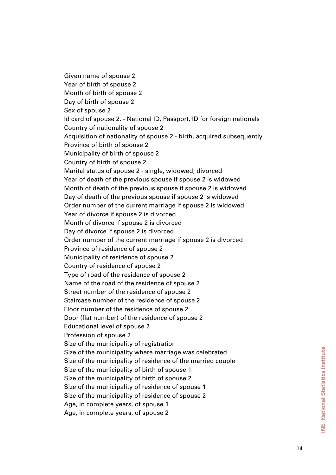Given name of spouse 2 Year of birth of spouse 2 Month of birth of spouse 2 Day of birth of spouse 2 Sex of spouse 2 Id card of spouse 2. - National ID, Passport, ID for foreign nationals Country of nationality of spouse 2 Acquisition of nationality of spouse 2.- birth, acquired subsequently Province of birth of spouse 2 Municipality of birth of spouse 2 Country of birth of spouse 2 Marital status of spouse 2 - single, widowed, divorced Year of death of the previous spouse if spouse 2 is widowed Month of death of the previous spouse if spouse 2 is widowed Day of death of the previous spouse if spouse 2 is widowed Order number of the current marriage if spouse 2 is widowed Year of divorce if spouse 2 is divorced Month of divorce if spouse 2 is divorced Day of divorce if spouse 2 is divorced Order number of the current marriage if spouse 2 is divorced Province of residence of spouse 2 Municipality of residence of spouse 2 Country of residence of spouse 2 Type of road of the residence of spouse 2 Name of the road of the residence of spouse 2 Street number of the residence of spouse 2 Staircase number of the residence of spouse 2 Floor number of the residence of spouse 2 Door (flat number) of the residence of spouse 2 Educational level of spouse 2 Profession of spouse 2 Size of the municipality of registration Size of the municipality where marriage was celebrated Size of the municipality of residence of the married couple Size of the municipality of birth of spouse 1 Size of the municipality of birth of spouse 2 Size of the municipality of residence of spouse 1 Size of the municipality of residence of spouse 2 Age, in complete years, of spouse 1 Age, in complete years, of spouse 2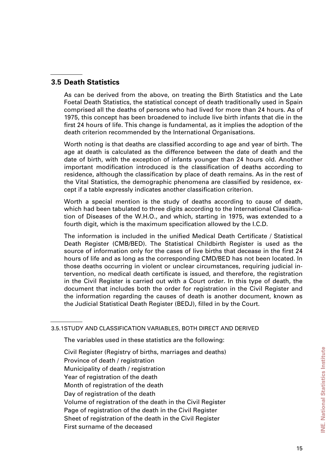#### **3.5 Death Statistics**

As can be derived from the above, on treating the Birth Statistics and the Late Foetal Death Statistics, the statistical concept of death traditionally used in Spain comprised all the deaths of persons who had lived for more than 24 hours. As of 1975, this concept has been broadened to include live birth infants that die in the first 24 hours of life. This change is fundamental, as it implies the adoption of the death criterion recommended by the International Organisations.

Worth noting is that deaths are classified according to age and year of birth. The age at death is calculated as the difference between the date of death and the date of birth, with the exception of infants younger than 24 hours old. Another important modification introduced is the classification of deaths according to residence, although the classification by place of death remains. As in the rest of the Vital Statistics, the demographic phenomena are classified by residence, except if a table expressly indicates another classification criterion.

Worth a special mention is the study of deaths according to cause of death, which had been tabulated to three digits according to the International Classification of Diseases of the W.H.O., and which, starting in 1975, was extended to a fourth digit, which is the maximum specification allowed by the I.C.D.

The information is included in the unified Medical Death Certificate / Statistical Death Register (CMB/BED). The Statistical Childbirth Register is used as the source of information only for the cases of live births that decease in the first 24 hours of life and as long as the corresponding CMD/BED has not been located. In those deaths occurring in violent or unclear circumstances, requiring judicial intervention, no medical death certificate is issued, and therefore, the registration in the Civil Register is carried out with a Court order. In this type of death, the document that includes both the order for registration in the Civil Register and the information regarding the causes of death is another document, known as the Judicial Statistical Death Register (BEDJ), filled in by the Court.

3.5.1 STUDY AND CLASSIFICATION VARIABLES, BOTH DIRECT AND DERIVED

The variables used in these statistics are the following:

Civil Register (Registry of births, marriages and deaths) Province of death / registration Municipality of death / registration Year of registration of the death Month of registration of the death Day of registration of the death Volume of registration of the death in the Civil Register Page of registration of the death in the Civil Register Sheet of registration of the death in the Civil Register First surname of the deceased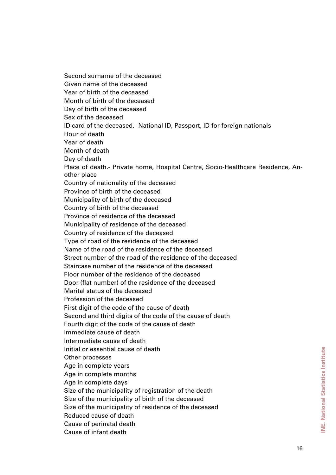Second surname of the deceased Given name of the deceased Year of birth of the deceased Month of birth of the deceased Day of birth of the deceased Sex of the deceased ID card of the deceased.- National ID, Passport, ID for foreign nationals Hour of death Year of death Month of death Day of death Place of death.- Private home, Hospital Centre, Socio-Healthcare Residence, Another place Country of nationality of the deceased Province of birth of the deceased Municipality of birth of the deceased Country of birth of the deceased Province of residence of the deceased Municipality of residence of the deceased Country of residence of the deceased Type of road of the residence of the deceased Name of the road of the residence of the deceased Street number of the road of the residence of the deceased Staircase number of the residence of the deceased Floor number of the residence of the deceased Door (flat number) of the residence of the deceased Marital status of the deceased Profession of the deceased First digit of the code of the cause of death Second and third digits of the code of the cause of death Fourth digit of the code of the cause of death Immediate cause of death Intermediate cause of death Initial or essential cause of death Other processes Age in complete years Age in complete months Age in complete days Size of the municipality of registration of the death Size of the municipality of birth of the deceased Size of the municipality of residence of the deceased Reduced cause of death Cause of perinatal death Cause of infant death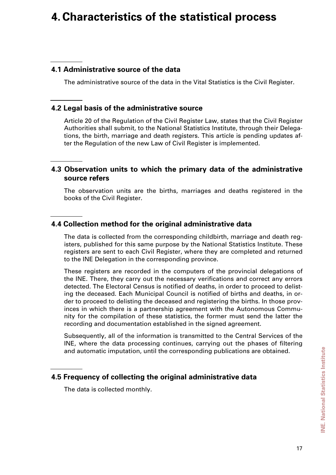# **4.Characteristics of the statistical process**

### **4.1 Administrative source of the data**

The administrative source of the data in the Vital Statistics is the Civil Register.

#### **4.2 Legal basis of the administrative source**

Article 20 of the Regulation of the Civil Register Law, states that the Civil Register Authorities shall submit, to the National Statistics Institute, through their Delegations, the birth, marriage and death registers. This article is pending updates after the Regulation of the new Law of Civil Register is implemented.

#### **4.3 Observation units to which the primary data of the administrative source refers**

The observation units are the births, marriages and deaths registered in the books of the Civil Register.

#### **4.4 Collection method for the original administrative data**

The data is collected from the corresponding childbirth, marriage and death registers, published for this same purpose by the National Statistics Institute. These registers are sent to each Civil Register, where they are completed and returned to the INE Delegation in the corresponding province.

These registers are recorded in the computers of the provincial delegations of the INE. There, they carry out the necessary verifications and correct any errors detected. The Electoral Census is notified of deaths, in order to proceed to delisting the deceased. Each Municipal Council is notified of births and deaths, in order to proceed to delisting the deceased and registering the births. In those provinces in which there is a partnership agreement with the Autonomous Community for the compilation of these statistics, the former must send the latter the recording and documentation established in the signed agreement.

Subsequently, all of the information is transmitted to the Central Services of the INE, where the data processing continues, carrying out the phases of filtering and automatic imputation, until the corresponding publications are obtained.

#### **4.5 Frequency of collecting the original administrative data**

The data is collected monthly.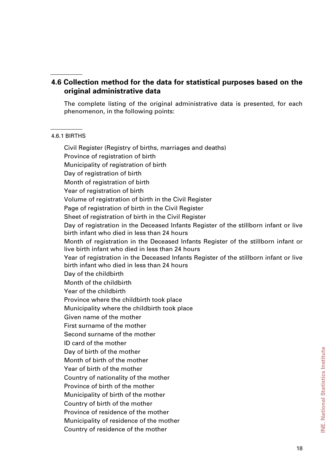### **4.6 Collection method for the data for statistical purposes based on the original administrative data**

The complete listing of the original administrative data is presented, for each phenomenon, in the following points:

#### 4.6.1 BIRTHS

Civil Register (Registry of births, marriages and deaths) Province of registration of birth Municipality of registration of birth Day of registration of birth Month of registration of birth Year of registration of birth Volume of registration of birth in the Civil Register Page of registration of birth in the Civil Register Sheet of registration of birth in the Civil Register Day of registration in the Deceased Infants Register of the stillborn infant or live birth infant who died in less than 24 hours Month of registration in the Deceased Infants Register of the stillborn infant or live birth infant who died in less than 24 hours Year of registration in the Deceased Infants Register of the stillborn infant or live birth infant who died in less than 24 hours Day of the childbirth Month of the childbirth Year of the childbirth Province where the childbirth took place Municipality where the childbirth took place Given name of the mother First surname of the mother Second surname of the mother ID card of the mother Day of birth of the mother Month of birth of the mother Year of birth of the mother Country of nationality of the mother Province of birth of the mother Municipality of birth of the mother Country of birth of the mother Province of residence of the mother Municipality of residence of the mother Country of residence of the mother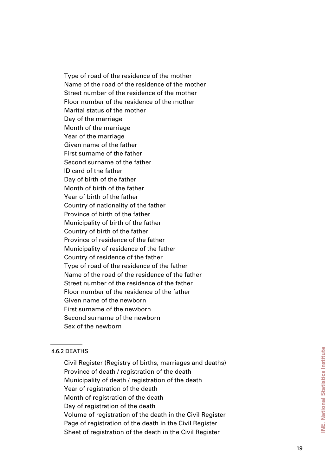Type of road of the residence of the mother Name of the road of the residence of the mother Street number of the residence of the mother Floor number of the residence of the mother Marital status of the mother Day of the marriage Month of the marriage Year of the marriage Given name of the father First surname of the father Second surname of the father ID card of the father Day of birth of the father Month of birth of the father Year of birth of the father Country of nationality of the father Province of birth of the father Municipality of birth of the father Country of birth of the father Province of residence of the father Municipality of residence of the father Country of residence of the father Type of road of the residence of the father Name of the road of the residence of the father Street number of the residence of the father Floor number of the residence of the father Given name of the newborn First surname of the newborn Second surname of the newborn Sex of the newborn

#### 4.6.2 DEATHS

Civil Register (Registry of births, marriages and deaths) Province of death / registration of the death Municipality of death / registration of the death Year of registration of the death Month of registration of the death Day of registration of the death Volume of registration of the death in the Civil Register Page of registration of the death in the Civil Register Sheet of registration of the death in the Civil Register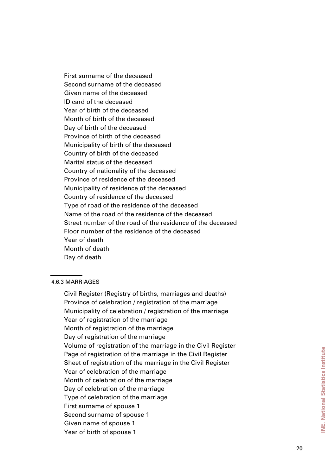First surname of the deceased Second surname of the deceased Given name of the deceased ID card of the deceased Year of birth of the deceased Month of birth of the deceased Day of birth of the deceased Province of birth of the deceased Municipality of birth of the deceased Country of birth of the deceased Marital status of the deceased Country of nationality of the deceased Province of residence of the deceased Municipality of residence of the deceased Country of residence of the deceased Type of road of the residence of the deceased Name of the road of the residence of the deceased Street number of the road of the residence of the deceased Floor number of the residence of the deceased Year of death Month of death Day of death

#### 4.6.3 MARRIAGES

Civil Register (Registry of births, marriages and deaths) Province of celebration / registration of the marriage Municipality of celebration / registration of the marriage Year of registration of the marriage Month of registration of the marriage Day of registration of the marriage Volume of registration of the marriage in the Civil Register Page of registration of the marriage in the Civil Register Sheet of registration of the marriage in the Civil Register Year of celebration of the marriage Month of celebration of the marriage Day of celebration of the marriage Type of celebration of the marriage First surname of spouse 1 Second surname of spouse 1 Given name of spouse 1 Year of birth of spouse 1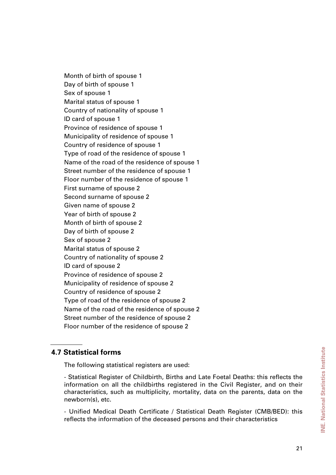Month of birth of spouse 1 Day of birth of spouse 1 Sex of spouse 1 Marital status of spouse 1 Country of nationality of spouse 1 ID card of spouse 1 Province of residence of spouse 1 Municipality of residence of spouse 1 Country of residence of spouse 1 Type of road of the residence of spouse 1 Name of the road of the residence of spouse 1 Street number of the residence of spouse 1 Floor number of the residence of spouse 1 First surname of spouse 2 Second surname of spouse 2 Given name of spouse 2 Year of birth of spouse 2 Month of birth of spouse 2 Day of birth of spouse 2 Sex of spouse 2 Marital status of spouse 2 Country of nationality of spouse 2 ID card of spouse 2 Province of residence of spouse 2 Municipality of residence of spouse 2 Country of residence of spouse 2 Type of road of the residence of spouse 2 Name of the road of the residence of spouse 2 Street number of the residence of spouse 2 Floor number of the residence of spouse 2

#### **4.7 Statistical forms**

The following statistical registers are used:

- Statistical Register of Childbirth, Births and Late Foetal Deaths: this reflects the information on all the childbirths registered in the Civil Register, and on their characteristics, such as multiplicity, mortality, data on the parents, data on the newborn(s), etc.

- Unified Medical Death Certificate / Statistical Death Register (CMB/BED): this reflects the information of the deceased persons and their characteristics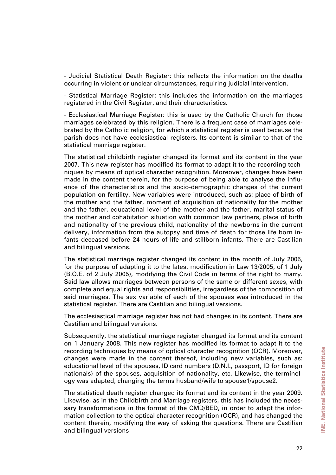- Judicial Statistical Death Register: this reflects the information on the deaths occurring in violent or unclear circumstances, requiring judicial intervention.

- Statistical Marriage Register: this includes the information on the marriages registered in the Civil Register, and their characteristics.

- Ecclesiastical Marriage Register: this is used by the Catholic Church for those marriages celebrated by this religion. There is a frequent case of marriages celebrated by the Catholic religion, for which a statistical register is used because the parish does not have ecclesiastical registers. Its content is similar to that of the statistical marriage register.

The statistical childbirth register changed its format and its content in the year 2007. This new register has modified its format to adapt it to the recording techniques by means of optical character recognition. Moreover, changes have been made in the content therein, for the purpose of being able to analyse the influence of the characteristics and the socio-demographic changes of the current population on fertility. New variables were introduced, such as: place of birth of the mother and the father, moment of acquisition of nationality for the mother and the father, educational level of the mother and the father, marital status of the mother and cohabitation situation with common law partners, place of birth and nationality of the previous child, nationality of the newborns in the current delivery, information from the autopsy and time of death for those life born infants deceased before 24 hours of life and stillborn infants. There are Castilian and bilingual versions.

The statistical marriage register changed its content in the month of July 2005, for the purpose of adapting it to the latest modification in Law 13/2005, of 1 July (B.O.E. of 2 July 2005), modifying the Civil Code in terms of the right to marry. Said law allows marriages between persons of the same or different sexes, with complete and equal rights and responsibilities, irregardless of the composition of said marriages. The sex variable of each of the spouses was introduced in the statistical register. There are Castilian and bilingual versions.

The ecclesiastical marriage register has not had changes in its content. There are Castilian and bilingual versions.

Subsequently, the statistical marriage register changed its format and its content on 1 January 2008. This new register has modified its format to adapt it to the recording techniques by means of optical character recognition (OCR). Moreover, changes were made in the content thereof, including new variables, such as: educational level of the spouses, ID card numbers (D.N.I., passport, ID for foreign nationals) of the spouses, acquisition of nationality, etc. Likewise, the terminology was adapted, changing the terms husband/wife to spouse1/spouse2.

The statistical death register changed its format and its content in the year 2009. Likewise, as in the Childbirth and Marriage registers, this has included the necessary transformations in the format of the CMD/BED, in order to adapt the information collection to the optical character recognition (OCR), and has changed the content therein, modifying the way of asking the questions. There are Castilian and bilingual versions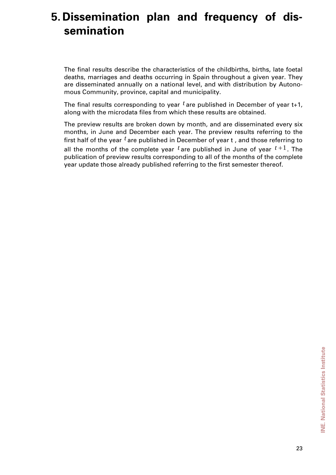# **5. Dissemination plan and frequency of dissemination**

The final results describe the characteristics of the childbirths, births, late foetal deaths, marriages and deaths occurring in Spain throughout a given year. They are disseminated annually on a national level, and with distribution by Autonomous Community, province, capital and municipality.

The final results corresponding to year *t* are published in December of year t+1, along with the microdata files from which these results are obtained.

The preview results are broken down by month, and are disseminated every six months, in June and December each year. The preview results referring to the first half of the year *t* are published in December of year t , and those referring to all the months of the complete year  $t$  are published in June of year  $t+1$ . The publication of preview results corresponding to all of the months of the complete year update those already published referring to the first semester thereof.